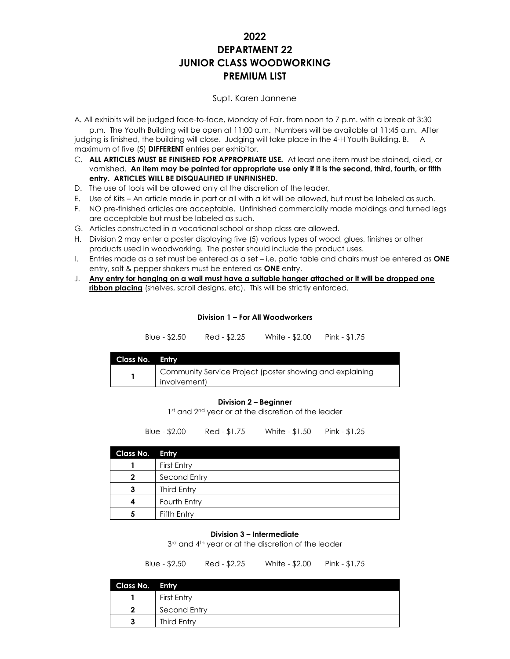# **2022 DEPARTMENT 22 JUNIOR CLASS WOODWORKING PREMIUM LIST**

### Supt. Karen Jannene

A. All exhibits will be judged face-to-face, Monday of Fair, from noon to 7 p.m. with a break at 3:30

p.m. The Youth Building will be open at 11:00 a.m. Numbers will be available at 11:45 a.m. After judging is finished, the building will close. Judging will take place in the 4-H Youth Building. B. A maximum of five (5) **DIFFERENT** entries per exhibitor.

- C. **ALL ARTICLES MUST BE FINISHED FOR APPROPRIATE USE.** At least one item must be stained, oiled, or varnished. **An item may be painted for appropriate use only if it is the second, third, fourth, or fifth entry. ARTICLES WILL BE DISQUALIFIED IF UNFINISHED.**
- D. The use of tools will be allowed only at the discretion of the leader.
- E. Use of Kits An article made in part or all with a kit will be allowed, but must be labeled as such.
- F. NO pre-finished articles are acceptable. Unfinished commercially made moldings and turned legs are acceptable but must be labeled as such.
- G. Articles constructed in a vocational school or shop class are allowed.
- H. Division 2 may enter a poster displaying five (5) various types of wood, glues, finishes or other products used in woodworking. The poster should include the product uses.
- I. Entries made as a set must be entered as a set i.e. patio table and chairs must be entered as **ONE**  entry, salt & pepper shakers must be entered as **ONE** entry.
- J. **Any entry for hanging on a wall must have a suitable hanger attached or it will be dropped one** ribbon placing (shelves, scroll designs, etc). This will be strictly enforced.

#### **Division 1 – For All Woodworkers**

| Blue - \$2.50 | Red - \$2.25 | White - \$2.00 | Pink - $$1.75$ |
|---------------|--------------|----------------|----------------|
|               |              |                |                |

| Class No. Entry |                                                                          |
|-----------------|--------------------------------------------------------------------------|
|                 | Community Service Project (poster showing and explaining<br>involvement) |

#### **Division 2 – Beginner**

1<sup>st</sup> and 2<sup>nd</sup> year or at the discretion of the leader

Blue - \$2.00 Red - \$1.75 White - \$1.50 Pink - \$1.25

| Class No. Entry |              |
|-----------------|--------------|
|                 | First Entry  |
| $\mathbf{2}$    | Second Entry |
| 3               | Third Entry  |
|                 | Fourth Entry |
|                 | Fifth Entry  |

#### **Division 3 – Intermediate**

3<sup>rd</sup> and 4<sup>th</sup> year or at the discretion of the leader

Blue - \$2.50 Red - \$2.25 White - \$2.00 Pink - \$1.75

| Class No. Entry |              |
|-----------------|--------------|
|                 | First Entry  |
|                 | Second Entry |
|                 | Third Entry  |